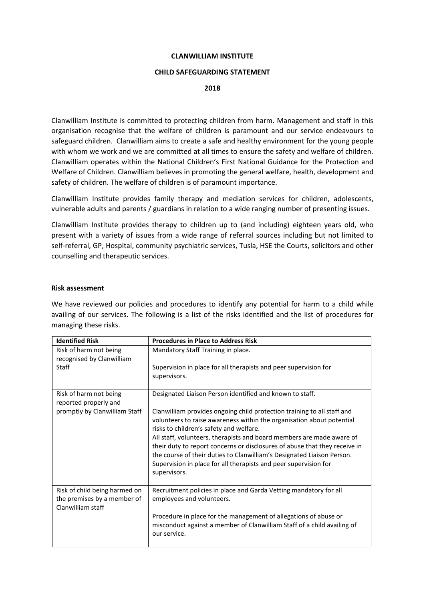## **CLANWILLIAM INSTITUTE**

# **CHILD SAFEGUARDING STATEMENT**

## **2018**

Clanwilliam Institute is committed to protecting children from harm. Management and staff in this organisation recognise that the welfare of children is paramount and our service endeavours to safeguard children. Clanwilliam aims to create a safe and healthy environment for the young people with whom we work and we are committed at all times to ensure the safety and welfare of children. Clanwilliam operates within the National Children's First National Guidance for the Protection and Welfare of Children. Clanwilliam believes in promoting the general welfare, health, development and safety of children. The welfare of children is of paramount importance.

Clanwilliam Institute provides family therapy and mediation services for children, adolescents, vulnerable adults and parents / guardians in relation to a wide ranging number of presenting issues.

Clanwilliam Institute provides therapy to children up to (and including) eighteen years old, who present with a variety of issues from a wide range of referral sources including but not limited to self-referral, GP, Hospital, community psychiatric services, Tusla, HSE the Courts, solicitors and other counselling and therapeutic services.

## **Risk assessment**

We have reviewed our policies and procedures to identify any potential for harm to a child while availing of our services. The following is a list of the risks identified and the list of procedures for managing these risks.

| <b>Identified Risk</b>                                                            | <b>Procedures in Place to Address Risk</b>                                                                                                                                                                                                                                                                                                                                                                                                                                                                       |
|-----------------------------------------------------------------------------------|------------------------------------------------------------------------------------------------------------------------------------------------------------------------------------------------------------------------------------------------------------------------------------------------------------------------------------------------------------------------------------------------------------------------------------------------------------------------------------------------------------------|
| Risk of harm not being<br>recognised by Clanwilliam                               | Mandatory Staff Training in place.                                                                                                                                                                                                                                                                                                                                                                                                                                                                               |
| Staff                                                                             | Supervision in place for all therapists and peer supervision for<br>supervisors.                                                                                                                                                                                                                                                                                                                                                                                                                                 |
| Risk of harm not being<br>reported properly and                                   | Designated Liaison Person identified and known to staff.                                                                                                                                                                                                                                                                                                                                                                                                                                                         |
| promptly by Clanwilliam Staff                                                     | Clanwilliam provides ongoing child protection training to all staff and<br>volunteers to raise awareness within the organisation about potential<br>risks to children's safety and welfare.<br>All staff, volunteers, therapists and board members are made aware of<br>their duty to report concerns or disclosures of abuse that they receive in<br>the course of their duties to Clanwilliam's Designated Liaison Person.<br>Supervision in place for all therapists and peer supervision for<br>supervisors. |
| Risk of child being harmed on<br>the premises by a member of<br>Clanwilliam staff | Recruitment policies in place and Garda Vetting mandatory for all<br>employees and volunteers.<br>Procedure in place for the management of allegations of abuse or<br>misconduct against a member of Clanwilliam Staff of a child availing of<br>our service.                                                                                                                                                                                                                                                    |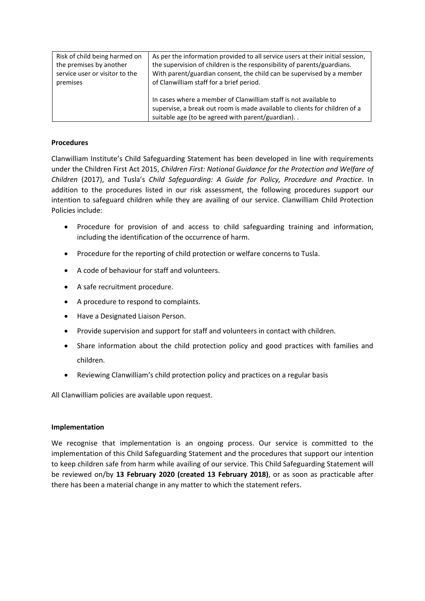| Risk of child being harmed on  | As per the information provided to all service users at their initial session,                                                                                                                     |
|--------------------------------|----------------------------------------------------------------------------------------------------------------------------------------------------------------------------------------------------|
| the premises by another        | the supervision of children is the responsibility of parents/guardians.                                                                                                                            |
| service user or visitor to the | With parent/guardian consent, the child can be supervised by a member                                                                                                                              |
| premises                       | of Clanwilliam staff for a brief period.                                                                                                                                                           |
|                                | In cases where a member of Clanwilliam staff is not available to<br>supervise, a break out room is made available to clients for children of a<br>suitable age (to be agreed with parent/guardian) |

# **Procedures**

Clanwilliam Institute's Child Safeguarding Statement has been developed in line with requirements under the Children First Act 2015, *Children First: National Guidance for the Protection and Welfare of Children* (2017), and Tusla's *Child Safeguarding: A Guide for Policy, Procedure and Practice*. In addition to the procedures listed in our risk assessment, the following procedures support our intention to safeguard children while they are availing of our service. Clanwilliam Child Protection Policies include:

- Procedure for provision of and access to child safeguarding training and information, including the identification of the occurrence of harm.
- Procedure for the reporting of child protection or welfare concerns to Tusla.
- A code of behaviour for staff and volunteers.
- A safe recruitment procedure.
- A procedure to respond to complaints.
- Have a Designated Liaison Person.
- Provide supervision and support for staff and volunteers in contact with children.
- Share information about the child protection policy and good practices with families and children.
- Reviewing Clanwilliam's child protection policy and practices on a regular basis

All Clanwilliam policies are available upon request.

# **Implementation**

We recognise that implementation is an ongoing process. Our service is committed to the implementation of this Child Safeguarding Statement and the procedures that support our intention to keep children safe from harm while availing of our service. This Child Safeguarding Statement will be reviewed on/by **13 February 2020 (created 13 February 2018)**, or as soon as practicable after there has been a material change in any matter to which the statement refers.